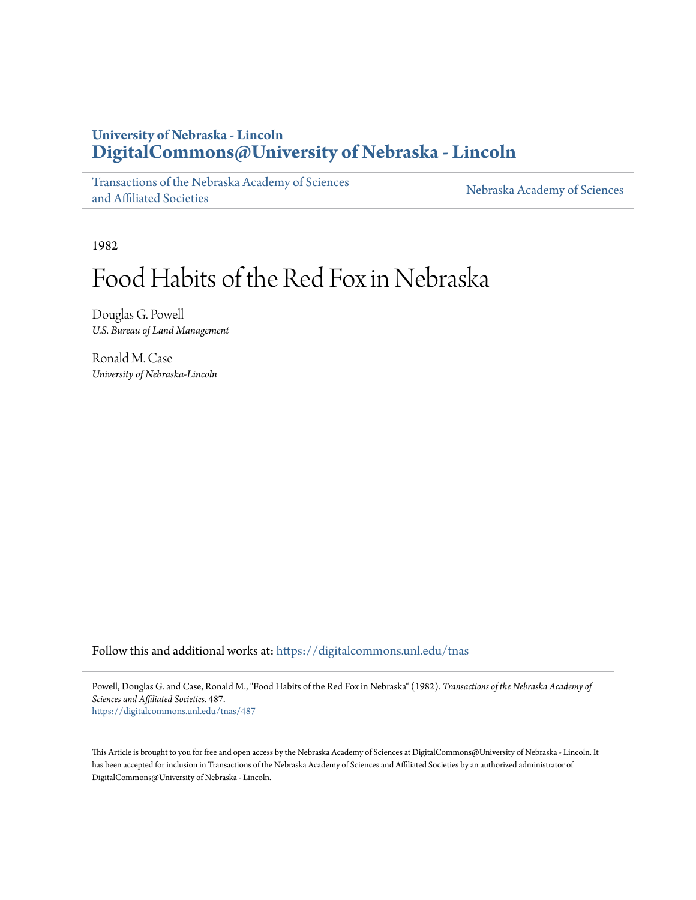# **University of Nebraska - Lincoln [DigitalCommons@University of Nebraska - Lincoln](https://digitalcommons.unl.edu?utm_source=digitalcommons.unl.edu%2Ftnas%2F487&utm_medium=PDF&utm_campaign=PDFCoverPages)**

[Transactions of the Nebraska Academy of Sciences](https://digitalcommons.unl.edu/tnas?utm_source=digitalcommons.unl.edu%2Ftnas%2F487&utm_medium=PDF&utm_campaign=PDFCoverPages) [and Affiliated Societies](https://digitalcommons.unl.edu/tnas?utm_source=digitalcommons.unl.edu%2Ftnas%2F487&utm_medium=PDF&utm_campaign=PDFCoverPages)

[Nebraska Academy of Sciences](https://digitalcommons.unl.edu/nebacadsci?utm_source=digitalcommons.unl.edu%2Ftnas%2F487&utm_medium=PDF&utm_campaign=PDFCoverPages)

1982

# Food Habits of the Red Fox in Nebraska

Douglas G. Powell *U.S. Bureau of Land Management*

Ronald M. Case *University of Nebraska-Lincoln*

Follow this and additional works at: [https://digitalcommons.unl.edu/tnas](https://digitalcommons.unl.edu/tnas?utm_source=digitalcommons.unl.edu%2Ftnas%2F487&utm_medium=PDF&utm_campaign=PDFCoverPages)

Powell, Douglas G. and Case, Ronald M., "Food Habits of the Red Fox in Nebraska" (1982). *Transactions of the Nebraska Academy of Sciences and Affiliated Societies*. 487. [https://digitalcommons.unl.edu/tnas/487](https://digitalcommons.unl.edu/tnas/487?utm_source=digitalcommons.unl.edu%2Ftnas%2F487&utm_medium=PDF&utm_campaign=PDFCoverPages)

This Article is brought to you for free and open access by the Nebraska Academy of Sciences at DigitalCommons@University of Nebraska - Lincoln. It has been accepted for inclusion in Transactions of the Nebraska Academy of Sciences and Affiliated Societies by an authorized administrator of DigitalCommons@University of Nebraska - Lincoln.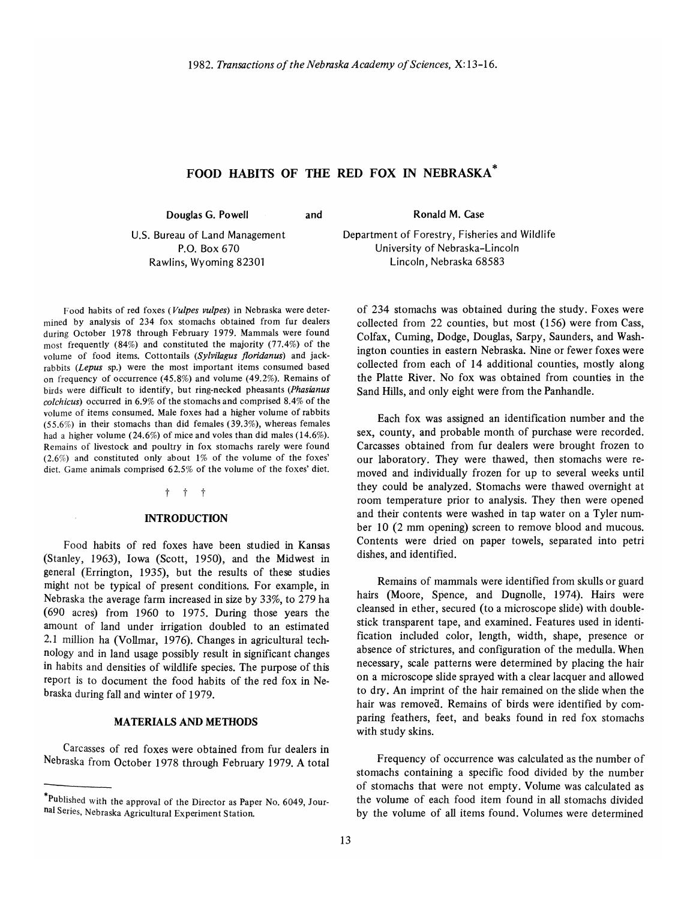## **FOOD HABITS OF THE RED FOX IN NEBRASKA \***

**Douglas G. Powell** 

**and** 

**Ronald** M. Case

U.S. Bureau of Land Management P.O. Box 670 Rawlins, Wyoming 82301

Department of Forestry, Fisheries and Wildlife University of Nebraska-Lincoln Lincoln, Nebraska 68583

Food habits of red foxes *(Vulpes vulpes)* in Nebraska were deter· mined by analysis of 234 fox stomachs obtained from fur dealers during October 1978 through February 1979. Mammals were found most frequently (84%) and constituted the majority (77.4%) of the volume of food items. Cottontails *(Sylvilagus floridanus)* and jack· rabbits *(Lepus* sp.) were the most important items consumed based on frequency of occurrence (45.8%) and volume (49.2%). Remains of birds were difficult to identify, but ring-necked pheasants *(Phasianus colchicus)* occurred in 6.9% of the stomachs and comprised 8.4% of the volume of items consumed. Male foxes had a higher volume of rabbits (55.6%) in their stomachs than did females (39.3%), whereas females had a higher volume (24.6%) of mice and voles than did males (14.6%). Remains of livestock and poultry in fox stomachs rarely were found (2.6%) and constituted only about 1% of the volume of the foxes' diet. Game animals comprised 62.5% of the volume of the foxes' diet.

#### t t t

#### **INTRODUCTION**

Food habits of red foxes have been studied in Kansas (Stanley, 1963), Iowa (Scott, 1950), and the Midwest in general (Errington, 1935), but the results of these studies might not be typical of present conditions. For example, in Nebraska the average farm increased in size by 33%, to 279 ha (690 acres) from 1960 to 1975. During those years the amount of land under irrigation doubled to an estimated 2.1 million ha (Vollmar, 1976). Changes in agricultural technology and in land usage possibly result in significant changes in habits and densities of wildlife species. The purpose of this report is to document the food habits of the red fox in Nebraska during fall and winter of 1979.

#### **MATERIALS AND METHODS**

Carcasses of red foxes were obtained from fur dealers in Nebraska from October 1978 through February 1979. A total of 234 stomachs was obtained during the study. Foxes were collected from 22 counties, but most (I56) were from Cass, Colfax, Cuming, Dodge, Douglas, Sarpy, Saunders, and Washington counties in eastern Nebraska. Nine or fewer foxes were collected from each of 14 additional counties, mostly along the Platte River. No fox was obtained from counties in the Sand Hills, and only eight were from the Panhandle.

Each fox was assigned an identification number and the sex, county, and probable month of purchase were recorded. Carcasses obtained from fur dealers were brought frozen to our laboratory. They were thawed, then stomachs were removed and individually frozen for up to several weeks until they could be analyzed. Stomachs were thawed overnight at room temperature prior to analysis. They then were opened and their contents were washed in tap water on a Tyler number 10 (2 mm opening) screen to remove blood and mucous. Contents were dried on paper towels, separated into petri dishes, and identified.

Remains of mammals were identified from skulls or guard hairs (Moore, Spence, and Dugnolle, 1974). Hairs were cleansed in ether, secured (to a microscope slide) with doublestick transparent tape, and examined. Features used in identification included color, length, width, shape, presence or absence of strictures, and configuration of the medulla. When necessary, scale patterns were determined by placing the hair on a microscope slide sprayed with a clear lacquer and allowed to dry. An imprint of the hair remained on the slide when the hair was removed. Remains of birds were identified by comparing feathers, feet, and beaks found in red fox stomachs with study skins.

Frequency of occurrence was calculated as the number of stomachs containing a specific food divided by the number of stomachs that were not empty, Volume was calculated as the volume of each food item found in all stomachs divided by the volume of all items found. Volumes were determined

<sup>\*</sup>Published with the approval of the Director as Paper No. 6049, Journal Series, Nebraska Agricultural Experiment Station.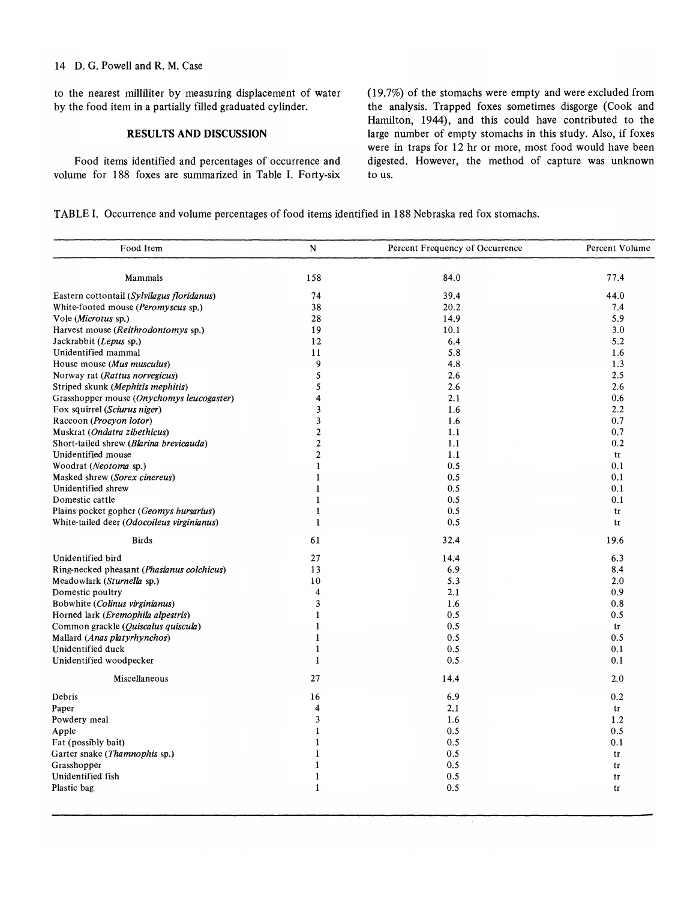#### 14 D. G. Powell and R. M. Case

to the nearest milliliter by measuring displacement of water by the food item in a partially filled graduated cylinder.

### **RESULTS AND DISCUSSION**

Food items identified and percentages of occurrence and volume for 188 foxes are summarized in Table I. Forty-six (19.7%) of the stomachs were empty and were excluded from the analysis. Trapped foxes sometimes disgorge (Cook and Hamilton, 1944), and this could have contributed to the large number of empty stomachs in this study. Also, if foxes were in traps for 12 hr or more, most food would have been digested. However, the method of capture was unknown to us.

**TABLE I.** Occurrence and volume percentages of food items identified in 188 Nebraska red fox stomachs.

| Mammals                                    | 158                     | 84.0    | 77.4 |
|--------------------------------------------|-------------------------|---------|------|
| Eastern cottontail (Sylvilagus floridanus) | 74                      | 39.4    | 44.0 |
| White-footed mouse (Peromyscus sp.)        | 38                      | 20.2    | 7.4  |
| Vole (Microtus sp.)                        | 28                      | 14.9    | 5.9  |
| Harvest mouse (Reithrodontomys sp.)        | 19                      | 10.1    | 3.0  |
| Jackrabbit (Lepus sp.)                     | 12                      | 6.4     | 5.2  |
| Unidentified mammal                        | 11                      | 5.8     | 1.6  |
| House mouse (Mus musculus)                 | 9                       | 4.8     | 1.3  |
| Norway rat (Rattus norvegicus)             | 5                       | 2.6     | 2.5  |
| Striped skunk (Mephitis mephitis)          | 5                       | 2.6     | 2.6  |
| Grasshopper mouse (Onychomys leucogaster)  | 4                       | 2.1     | 0.6  |
| Fox squirrel (Sciurus niger)               | 3                       | 1.6     | 2.2  |
| Raccoon (Procyon lotor)                    | 3                       | 1.6     | 0.7  |
|                                            | $\overline{\mathbf{c}}$ |         |      |
| Muskrat (Ondatra zibethicus)               |                         | 1.1     | 0.7  |
| Short-tailed shrew (Blarina brevicauda)    | $\overline{\mathbf{c}}$ | 1.1     | 0.2  |
| Unidentified mouse                         | $\overline{\mathbf{c}}$ | 1.1     | tr   |
| Woodrat (Neotoma sp.)                      | $\mathbf{1}$            | 0.5     | 0.1  |
| Masked shrew (Sorex cinereus)              | $\mathbf{1}$            | 0.5     | 0.1  |
| Unidentified shrew                         | $\mathbf{1}$            | 0.5     | 0.1  |
| Domestic cattle                            | $\mathbf{1}$            | 0.5     | 0.1  |
| Plains pocket gopher (Geomys bursarius)    | $\mathbf{1}$            | 0.5     | tr   |
| White-tailed deer (Odocoileus virginianus) | $\mathbf{1}$            | 0.5     | tr   |
| <b>Birds</b>                               | 61                      | 32.4    | 19.6 |
| Unidentified bird                          | 27                      | 14.4    | 6.3  |
| Ring-necked pheasant (Phasianus colchicus) | 13                      | 6.9     | 8.4  |
| Meadowlark (Sturnella sp.)                 | 10                      | 5.3     | 2.0  |
| Domestic poultry                           | 4                       | 2.1     | 0.9  |
| Bobwhite (Colinus virginianus)             | 3                       | 1.6     | 0.8  |
| Horned lark (Eremophila alpestris)         | $\mathbf{1}$            | 0.5     | 0.5  |
| Common grackle (Quiscalus quiscula)        | $\mathbf{1}$            | 0.5     | tr   |
| Mallard (Anas platyrhynchos)               | $\mathbf{1}$            | 0.5     | 0.5  |
| Unidentified duck                          | $\mathbf{1}$            | 0.5     | 0.1  |
| Unidentified woodpecker                    | $\mathbf{1}$            | 0.5     | 0.1  |
| Miscellaneous                              | 27                      | 14.4    | 2.0  |
| Debris                                     | 16                      | 6.9     | 0.2  |
| Paper                                      | 4                       | 2.1     | tr   |
| Powdery meal                               | 3                       | 1.6     | 1.2  |
| Apple                                      | $\mathbf{1}$            | 0.5     | 0.5  |
| Fat (possibly bait)                        | $\mathbf{1}$            | 0.5     | 0.1  |
| Garter snake (Thamnophis sp.)              | $\mathbf{1}$            | 0.5     | tr   |
| Grasshopper                                | $\mathbf{1}$            | 0.5     | tr   |
| Unidentified fish                          | $\mathbf{1}$            | $0.5\,$ | tr   |
| Plastic bag                                | $\mathbf{1}$            | 0.5     | tr   |
|                                            |                         |         |      |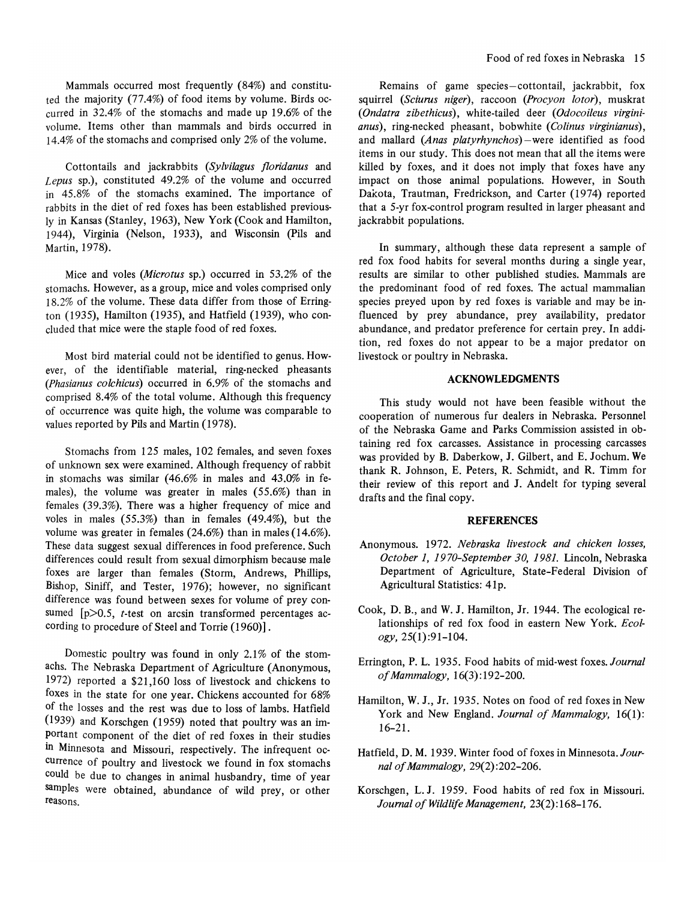Mammals occurred most frequently (84%) and constituted the majority (77.4%) of food items by volume. Birds occurred in 32.4% of the stomachs and made up 19.6% of the volume. Items other than mammals and birds occurred in 14.4% of the stomachs and comprised only 2% of the volume.

Cottontails and jackrabbits *(Sylvilagus floridanus* and *Lepus* sp.), constituted 49.2% of the volume and occurred in 45.8% of the stomachs examined. The importance of rabbits in the diet of red foxes has been established previously in Kansas (Stanley, 1963), New York (Cook and Hamilton, 1944), Virginia (Nelson, 1933), and Wisconsin (Pils and Martin, 1978).

Mice and voles *(Microtus* sp.) occurred in 53.2% of the stomachs. However, as a group, mice and voles comprised only 18.2% of the volume. These data differ from those of Errington (1935), Hamilton (1935), and Hatfield (1939), who concluded that mice were the staple food of red foxes.

Most bird material could not be identified to genus. However, of the identifiable material, ring-necked pheasants *(Phasianus colchicus)* occurred in 6,9% of the stomachs and comprised 8.4% of the total volume. Although this frequency of occurrence was quite high, the volume was comparable to values reported by Pils and Martin (1978).

Stomachs from 125 males, 102 females, and seven foxes of unknown sex were examined. Although frequency of rabbit in stomachs was similar (46.6% in males and 43.0% in females), the volume was greater in males (55.6%) than in females (39.3%). There was a higher frequency of mice and voles in males (55.3%) than in females (49.4%), but the volume was greater in females (24.6%) than in males (14.6%). These data suggest sexual differences in food preference. Such differences could result from sexual dimorphism because male foxes are larger than females (Storm, Andrews, Phillips, Bishop, Siniff, and Tester, 1976); however, no significant difference was found between sexes for volume of prey consumed [p>0.5, *t*-test on arcsin transformed percentages according to procedure of Steel and Torrie (1960)].

Domestic poultry was found in only  $2.1\%$  of the stomachs. The Nebraska Department of Agriculture (Anonymous, 1972) reported a \$21,160 loss of livestock and chickens to foxes in the state for one year. Chickens accounted for 68% of the losses and the rest was due to loss of lambs. Hatfield (l939) and Korschgen (l959) noted that poultry was an important component of the diet of red foxes in their studies in Minnesota and Missouri, respectively. The infrequent occurrence of poultry and livestock we found in fox stomachs could be due to changes in animal husbandry, time of year samples were obtained, abundance of wild prey, or other reasons.

Remains of game species-cottontail, jackrabbit, fox squirrel *(Sciurus niger)*, raccoon *(Procyon lotor)*, muskrat (Ondatra zibethicus), white-tailed deer (Odocoileus virgini*anus),* ring-necked pheasant, bobwhite *(Colinus virginianus)*, and mallard *(Anas platyrhynchos)-were* identified as food items in our study. This does not mean that all the items were killed by foxes, and it does not imply that foxes have any impact on those animal populations. However, in South Dakota, Trautman, Fredrickson, and Carter (1974) reported that a 5-yr fox-control program resulted in larger pheasant and jackrabbit populations.

In summary, although these data represent a sample of red fox food habits for several months during a single year, results are similar to other published studies. Mammals are the predominant food of red foxes. The actual mammalian species preyed upon by red foxes is variable and may be influenced by prey abundance, prey availability, predator abundance, and predator preference for certain prey. In addition, red foxes do not appear to be a major predator on livestock or poultry in Nebraska.

#### **ACKNOWLEDGMENTS**

This study would not have been feasible without the cooperation of numerous fur dealers in Nebraska. Personnel of the Nebraska Game and Parks Commission assisted in obtaining red fox carcasses. Assistance in processing carcasses was provided by B. Daberkow, J. Gilbert, and E. Jochum. We thank R. Johnson, E. Peters, R. Schmidt, and R. Timm for their review of this report and J. Andelt for typing several drafts and the final copy.

#### **REFERENCES**

- Anonymous. 1972. *Nebraska livestock and chicken losses, October* 1, 19 *70-September 30,* 1981. Lincoln, Nebraska Department of Agriculture, State-Federal Division of Agricultural Statistics: 41p.
- Cook, D. B., and W. J. Hamilton, Jr. 1944. The ecological relationships of red fox food in eastern New York. *Ecology,25(I):91-104.*
- Errington, P. L. 1935. Food habits of mid-west foxes. *Journal of Mammalogy, 16(3):192-200.*
- Hamilton, W.J., Jr. 1935. Notes on food of red foxes in New York and New England. *Journal of Mammalogy*, 16(1): 16-21.
- Hatfield, D. M. 1939. Winter food of foxes in Minnesota. *Journal of Mammalogy,* 29(2) :202-206.
- Korschgen, L. J. 1959. Food habits of red fox in Missouri. *Journal of Wildlife Management,* 23(2): 168-176.